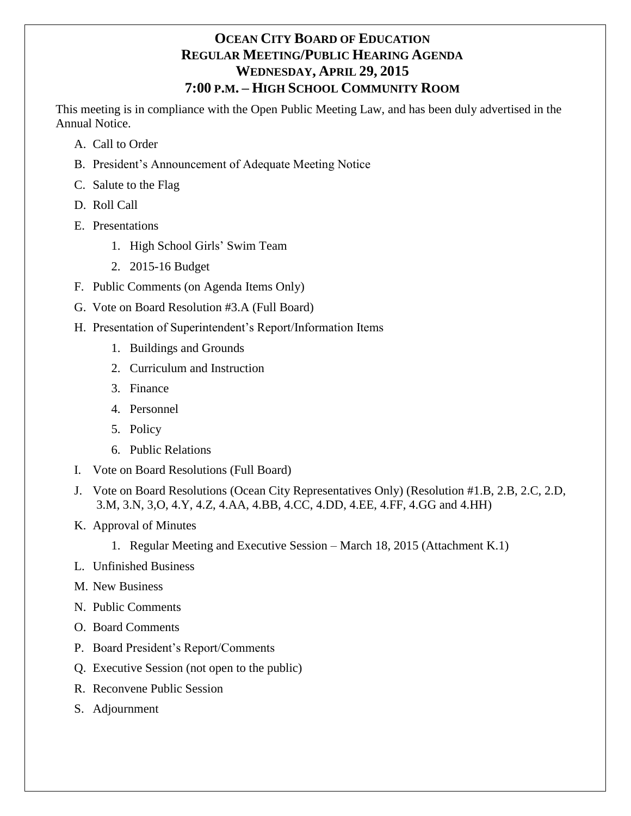# **OCEAN CITY BOARD OF EDUCATION REGULAR MEETING/PUBLIC HEARING AGENDA WEDNESDAY, APRIL 29, 2015 7:00 P.M. – HIGH SCHOOL COMMUNITY ROOM**

This meeting is in compliance with the Open Public Meeting Law, and has been duly advertised in the Annual Notice.

- A. Call to Order
- B. President's Announcement of Adequate Meeting Notice
- C. Salute to the Flag
- D. Roll Call
- E. Presentations
	- 1. High School Girls' Swim Team
	- 2. 2015-16 Budget
- F. Public Comments (on Agenda Items Only)
- G. Vote on Board Resolution #3.A (Full Board)
- H. Presentation of Superintendent's Report/Information Items
	- 1. Buildings and Grounds
	- 2. Curriculum and Instruction
	- 3. Finance
	- 4. Personnel
	- 5. Policy
	- 6. Public Relations
- I. Vote on Board Resolutions (Full Board)
- J. Vote on Board Resolutions (Ocean City Representatives Only) (Resolution #1.B, 2.B, 2.C, 2.D, 3.M, 3.N, 3,O, 4.Y, 4.Z, 4.AA, 4.BB, 4.CC, 4.DD, 4.EE, 4.FF, 4.GG and 4.HH)
- K. Approval of Minutes
	- 1. Regular Meeting and Executive Session March 18, 2015 (Attachment K.1)
- L. Unfinished Business
- M. New Business
- N. Public Comments
- O. Board Comments
- P. Board President's Report/Comments
- Q. Executive Session (not open to the public)
- R. Reconvene Public Session
- S. Adjournment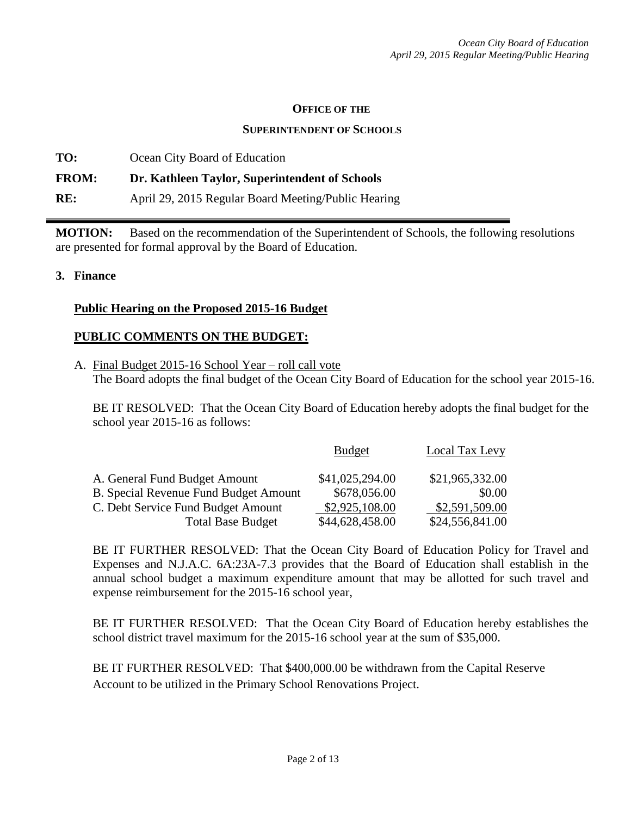#### **OFFICE OF THE**

#### **SUPERINTENDENT OF SCHOOLS**

**TO:** Ocean City Board of Education **FROM: Dr. Kathleen Taylor, Superintendent of Schools RE:** April 29, 2015 Regular Board Meeting/Public Hearing

**MOTION:** Based on the recommendation of the Superintendent of Schools, the following resolutions are presented for formal approval by the Board of Education.

#### **3. Finance**

#### **Public Hearing on the Proposed 2015-16 Budget**

#### **PUBLIC COMMENTS ON THE BUDGET:**

A. Final Budget 2015-16 School Year – roll call vote The Board adopts the final budget of the Ocean City Board of Education for the school year 2015-16.

BE IT RESOLVED: That the Ocean City Board of Education hereby adopts the final budget for the school year 2015-16 as follows:

|                                              | <b>Budget</b>   | <b>Local Tax Levy</b> |
|----------------------------------------------|-----------------|-----------------------|
| A. General Fund Budget Amount                | \$41,025,294.00 | \$21,965,332.00       |
| <b>B.</b> Special Revenue Fund Budget Amount | \$678,056.00    | \$0.00                |
| C. Debt Service Fund Budget Amount           | \$2,925,108.00  | \$2,591,509.00        |
| <b>Total Base Budget</b>                     | \$44,628,458.00 | \$24,556,841.00       |

BE IT FURTHER RESOLVED: That the Ocean City Board of Education Policy for Travel and Expenses and N.J.A.C. 6A:23A-7.3 provides that the Board of Education shall establish in the annual school budget a maximum expenditure amount that may be allotted for such travel and expense reimbursement for the 2015-16 school year,

BE IT FURTHER RESOLVED: That the Ocean City Board of Education hereby establishes the school district travel maximum for the 2015-16 school year at the sum of \$35,000.

BE IT FURTHER RESOLVED: That \$400,000.00 be withdrawn from the Capital Reserve Account to be utilized in the Primary School Renovations Project.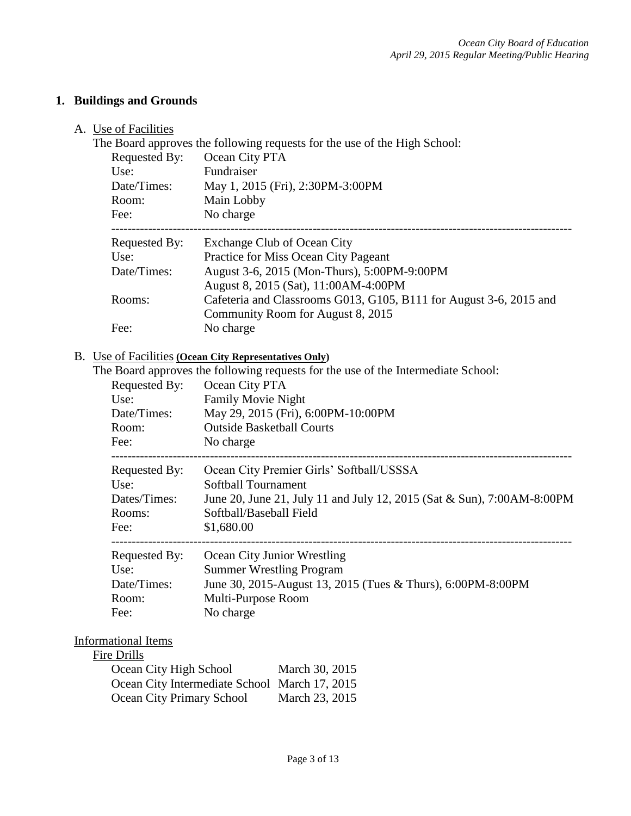## **1. Buildings and Grounds**

### A. Use of Facilities

The Board approves the following requests for the use of the High School:

| Requested By: | Ocean City PTA                                                     |
|---------------|--------------------------------------------------------------------|
| Use:          | Fundraiser                                                         |
| Date/Times:   | May 1, 2015 (Fri), 2:30PM-3:00PM                                   |
| Room:         | Main Lobby                                                         |
| Fee:          | No charge                                                          |
| Requested By: | Exchange Club of Ocean City                                        |
| Use:          | Practice for Miss Ocean City Pageant                               |
| Date/Times:   | August 3-6, 2015 (Mon-Thurs), 5:00PM-9:00PM                        |
|               | August 8, 2015 (Sat), 11:00AM-4:00PM                               |
| Rooms:        | Cafeteria and Classrooms G013, G105, B111 for August 3-6, 2015 and |
|               | Community Room for August 8, 2015                                  |
| Fee:          | No charge                                                          |

#### B. Use of Facilities **(Ocean City Representatives Only)**

|               | The Board approves the following requests for the use of the Intermediate School: |
|---------------|-----------------------------------------------------------------------------------|
| Requested By: | Ocean City PTA                                                                    |
| Use:          | <b>Family Movie Night</b>                                                         |
| Date/Times:   | May 29, 2015 (Fri), 6:00PM-10:00PM                                                |
| Room:         | <b>Outside Basketball Courts</b>                                                  |
| Fee:          | No charge                                                                         |
| Requested By: | Ocean City Premier Girls' Softball/USSSA                                          |
| Use:          | Softball Tournament                                                               |
| Dates/Times:  | June 20, June 21, July 11 and July 12, 2015 (Sat & Sun), 7:00AM-8:00PM            |
| Rooms:        | Softball/Baseball Field                                                           |
| Fee:          | \$1,680.00                                                                        |
| Requested By: | Ocean City Junior Wrestling                                                       |
| Use:          | <b>Summer Wrestling Program</b>                                                   |
| Date/Times:   | June 30, 2015-August 13, 2015 (Tues & Thurs), 6:00PM-8:00PM                       |
| Room:         | Multi-Purpose Room                                                                |
| Fee:          | No charge                                                                         |

## Informational Items

## Fire Drills

| Ocean City High School                        | March 30, 2015 |
|-----------------------------------------------|----------------|
| Ocean City Intermediate School March 17, 2015 |                |
| Ocean City Primary School                     | March 23, 2015 |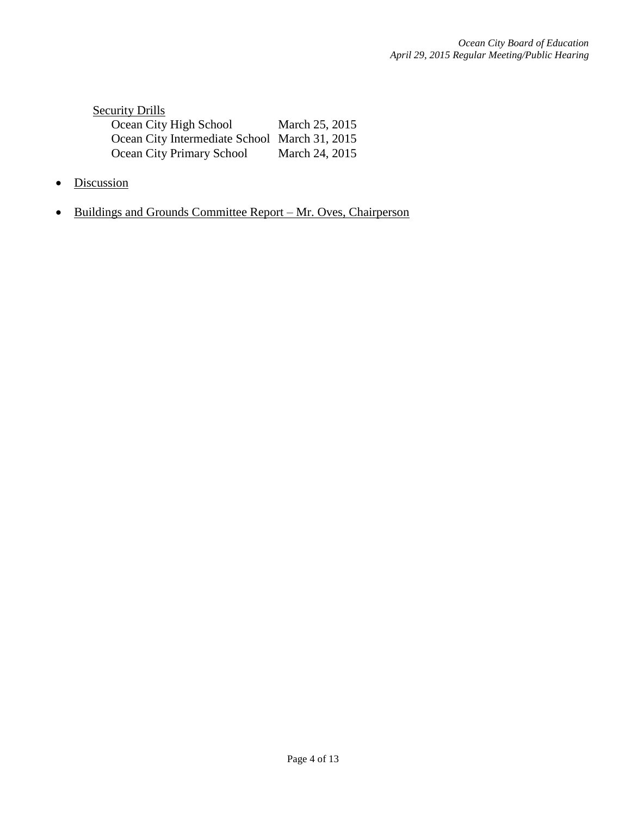| <b>Security Drills</b>                        |                |
|-----------------------------------------------|----------------|
| Ocean City High School                        | March 25, 2015 |
| Ocean City Intermediate School March 31, 2015 |                |
| Ocean City Primary School                     | March 24, 2015 |

- Discussion
- Buildings and Grounds Committee Report Mr. Oves, Chairperson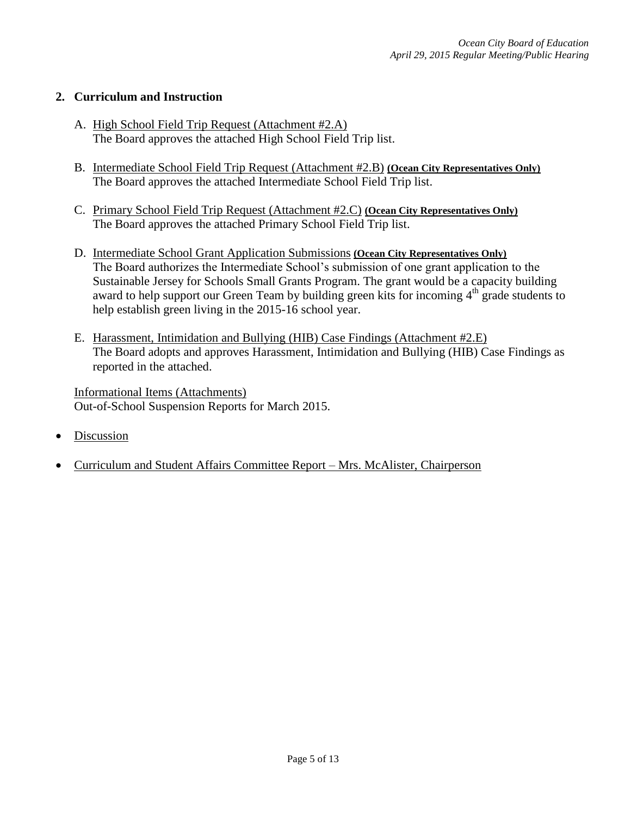## **2. Curriculum and Instruction**

- A. High School Field Trip Request (Attachment #2.A) The Board approves the attached High School Field Trip list.
- B. Intermediate School Field Trip Request (Attachment #2.B) **(Ocean City Representatives Only)** The Board approves the attached Intermediate School Field Trip list.
- C. Primary School Field Trip Request (Attachment #2.C) **(Ocean City Representatives Only)** The Board approves the attached Primary School Field Trip list.
- D. Intermediate School Grant Application Submissions **(Ocean City Representatives Only)** The Board authorizes the Intermediate School's submission of one grant application to the Sustainable Jersey for Schools Small Grants Program. The grant would be a capacity building award to help support our Green Team by building green kits for incoming  $4<sup>th</sup>$  grade students to help establish green living in the 2015-16 school year.
- E. Harassment, Intimidation and Bullying (HIB) Case Findings (Attachment #2.E) The Board adopts and approves Harassment, Intimidation and Bullying (HIB) Case Findings as reported in the attached.

Informational Items (Attachments) Out-of-School Suspension Reports for March 2015.

- Discussion
- Curriculum and Student Affairs Committee Report Mrs. McAlister, Chairperson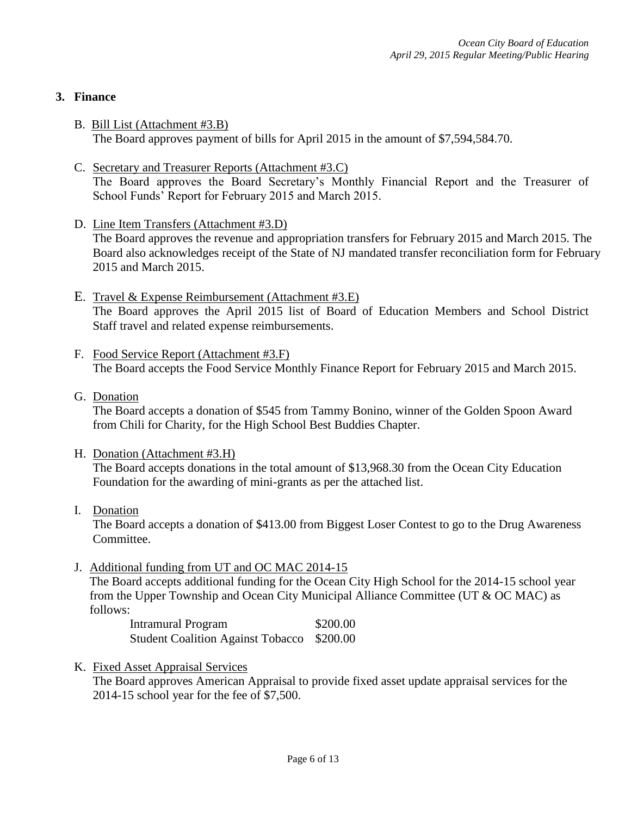### **3. Finance**

- B. Bill List (Attachment #3.B) The Board approves payment of bills for April 2015 in the amount of \$7,594,584.70.
- C. Secretary and Treasurer Reports (Attachment #3.C) The Board approves the Board Secretary's Monthly Financial Report and the Treasurer of School Funds' Report for February 2015 and March 2015.
- D. Line Item Transfers (Attachment #3.D) The Board approves the revenue and appropriation transfers for February 2015 and March 2015. The Board also acknowledges receipt of the State of NJ mandated transfer reconciliation form for February 2015 and March 2015.
- E. Travel & Expense Reimbursement (Attachment #3.E) The Board approves the April 2015 list of Board of Education Members and School District Staff travel and related expense reimbursements.
- F. Food Service Report (Attachment #3.F) The Board accepts the Food Service Monthly Finance Report for February 2015 and March 2015.
- G. Donation

The Board accepts a donation of \$545 from Tammy Bonino, winner of the Golden Spoon Award from Chili for Charity, for the High School Best Buddies Chapter.

- H. Donation (Attachment #3.H) The Board accepts donations in the total amount of \$13,968.30 from the Ocean City Education Foundation for the awarding of mini-grants as per the attached list.
- I. Donation

The Board accepts a donation of \$413.00 from Biggest Loser Contest to go to the Drug Awareness Committee.

J. Additional funding from UT and OC MAC 2014-15

The Board accepts additional funding for the Ocean City High School for the 2014-15 school year from the Upper Township and Ocean City Municipal Alliance Committee (UT & OC MAC) as follows:

Intramural Program \$200.00 Student Coalition Against Tobacco \$200.00

K. Fixed Asset Appraisal Services

The Board approves American Appraisal to provide fixed asset update appraisal services for the 2014-15 school year for the fee of \$7,500.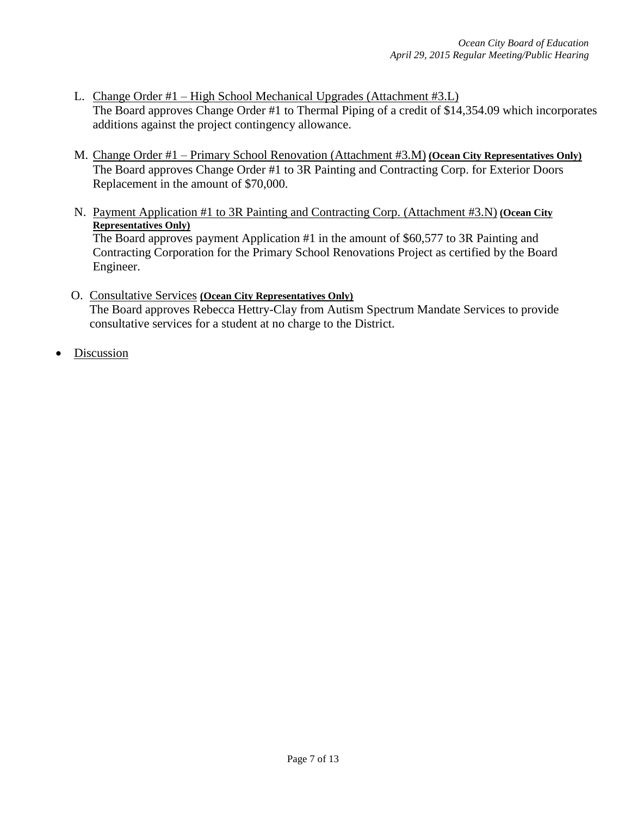- L. Change Order #1 High School Mechanical Upgrades (Attachment #3.L) The Board approves Change Order #1 to Thermal Piping of a credit of \$14,354.09 which incorporates additions against the project contingency allowance.
- M. Change Order #1 Primary School Renovation (Attachment #3.M) **(Ocean City Representatives Only)** The Board approves Change Order #1 to 3R Painting and Contracting Corp. for Exterior Doors Replacement in the amount of \$70,000.
- N. Payment Application #1 to 3R Painting and Contracting Corp. (Attachment #3.N) **(Ocean City Representatives Only)** The Board approves payment Application #1 in the amount of \$60,577 to 3R Painting and

Contracting Corporation for the Primary School Renovations Project as certified by the Board Engineer.

- O. Consultative Services **(Ocean City Representatives Only)** The Board approves Rebecca Hettry-Clay from Autism Spectrum Mandate Services to provide consultative services for a student at no charge to the District.
- Discussion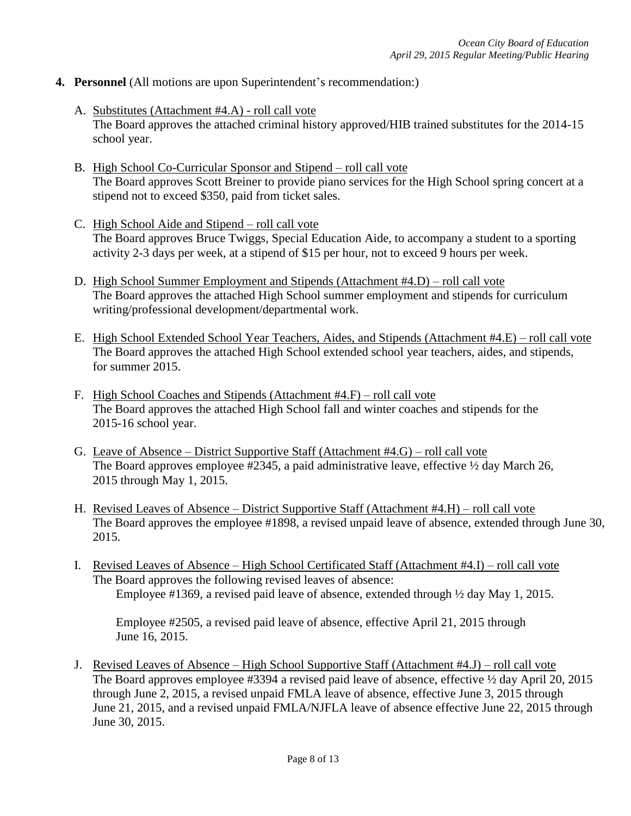- **4. Personnel** (All motions are upon Superintendent's recommendation:)
	- A. Substitutes (Attachment #4.A) roll call vote The Board approves the attached criminal history approved/HIB trained substitutes for the 2014-15 school year.
	- B. High School Co-Curricular Sponsor and Stipend roll call vote The Board approves Scott Breiner to provide piano services for the High School spring concert at a stipend not to exceed \$350, paid from ticket sales.
	- C. High School Aide and Stipend roll call vote The Board approves Bruce Twiggs, Special Education Aide, to accompany a student to a sporting activity 2-3 days per week, at a stipend of \$15 per hour, not to exceed 9 hours per week.
	- D. High School Summer Employment and Stipends (Attachment #4.D) roll call vote The Board approves the attached High School summer employment and stipends for curriculum writing/professional development/departmental work.
	- E. High School Extended School Year Teachers, Aides, and Stipends (Attachment #4.E) roll call vote The Board approves the attached High School extended school year teachers, aides, and stipends, for summer 2015.
	- F. High School Coaches and Stipends (Attachment #4.F) roll call vote The Board approves the attached High School fall and winter coaches and stipends for the 2015-16 school year.
	- G. Leave of Absence District Supportive Staff (Attachment #4.G) roll call vote The Board approves employee #2345, a paid administrative leave, effective  $\frac{1}{2}$  day March 26, 2015 through May 1, 2015.
	- H. Revised Leaves of Absence District Supportive Staff (Attachment #4.H) roll call vote The Board approves the employee #1898, a revised unpaid leave of absence, extended through June 30, 2015.
	- I. Revised Leaves of Absence High School Certificated Staff (Attachment #4.I) roll call vote The Board approves the following revised leaves of absence: Employee #1369, a revised paid leave of absence, extended through ½ day May 1, 2015.

Employee #2505, a revised paid leave of absence, effective April 21, 2015 through June 16, 2015.

J. Revised Leaves of Absence – High School Supportive Staff (Attachment #4.J) – roll call vote The Board approves employee #3394 a revised paid leave of absence, effective  $\frac{1}{2}$  day April 20, 2015 through June 2, 2015, a revised unpaid FMLA leave of absence, effective June 3, 2015 through June 21, 2015, and a revised unpaid FMLA/NJFLA leave of absence effective June 22, 2015 through June 30, 2015.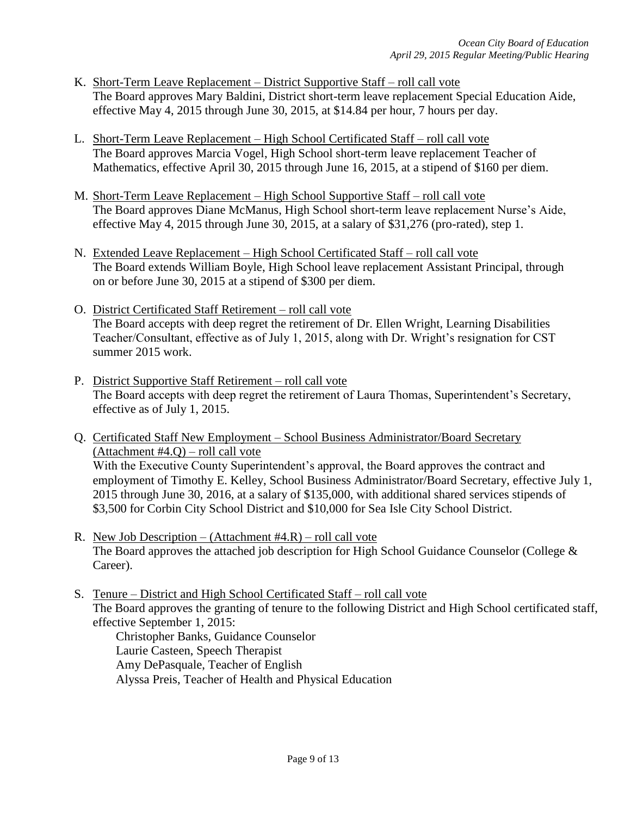- K. Short-Term Leave Replacement District Supportive Staff roll call vote The Board approves Mary Baldini, District short-term leave replacement Special Education Aide, effective May 4, 2015 through June 30, 2015, at \$14.84 per hour, 7 hours per day.
- L. Short-Term Leave Replacement High School Certificated Staff roll call vote The Board approves Marcia Vogel, High School short-term leave replacement Teacher of Mathematics, effective April 30, 2015 through June 16, 2015, at a stipend of \$160 per diem.
- M. Short-Term Leave Replacement High School Supportive Staff roll call vote The Board approves Diane McManus, High School short-term leave replacement Nurse's Aide, effective May 4, 2015 through June 30, 2015, at a salary of \$31,276 (pro-rated), step 1.
- N. Extended Leave Replacement High School Certificated Staff roll call vote The Board extends William Boyle, High School leave replacement Assistant Principal, through on or before June 30, 2015 at a stipend of \$300 per diem.
- O. District Certificated Staff Retirement roll call vote The Board accepts with deep regret the retirement of Dr. Ellen Wright, Learning Disabilities Teacher/Consultant, effective as of July 1, 2015, along with Dr. Wright's resignation for CST summer 2015 work.
- P. District Supportive Staff Retirement roll call vote The Board accepts with deep regret the retirement of Laura Thomas, Superintendent's Secretary, effective as of July 1, 2015.
- Q. Certificated Staff New Employment School Business Administrator/Board Secretary (Attachment #4.Q) – roll call vote With the Executive County Superintendent's approval, the Board approves the contract and employment of Timothy E. Kelley, School Business Administrator/Board Secretary, effective July 1, 2015 through June 30, 2016, at a salary of \$135,000, with additional shared services stipends of \$3,500 for Corbin City School District and \$10,000 for Sea Isle City School District.
- R. New Job Description (Attachment  $#4 \cdot R$ ) roll call vote The Board approves the attached job description for High School Guidance Counselor (College & Career).
- S. Tenure District and High School Certificated Staff roll call vote The Board approves the granting of tenure to the following District and High School certificated staff, effective September 1, 2015: Christopher Banks, Guidance Counselor Laurie Casteen, Speech Therapist

Amy DePasquale, Teacher of English Alyssa Preis, Teacher of Health and Physical Education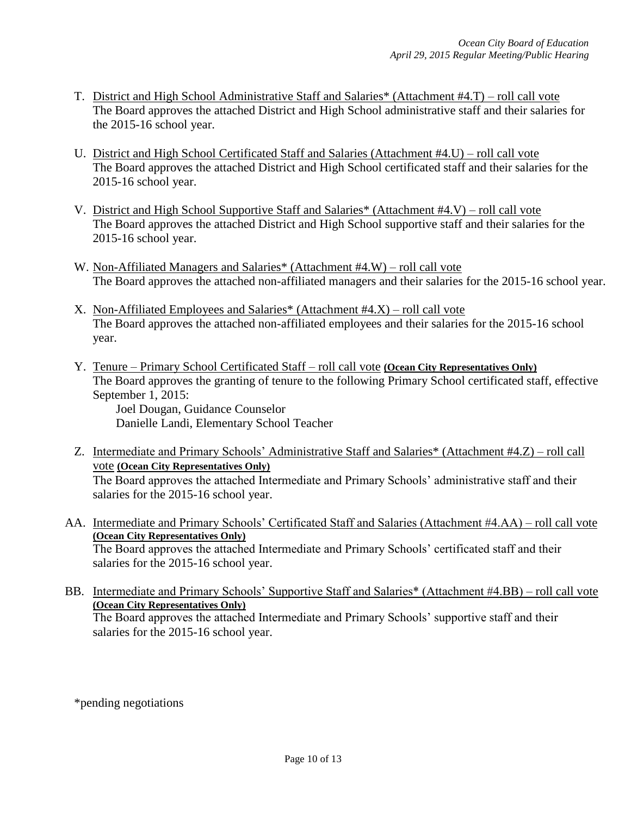- T. District and High School Administrative Staff and Salaries\* (Attachment #4.T) roll call vote The Board approves the attached District and High School administrative staff and their salaries for the 2015-16 school year.
- U. District and High School Certificated Staff and Salaries (Attachment #4.U) roll call vote The Board approves the attached District and High School certificated staff and their salaries for the 2015-16 school year.
- V. District and High School Supportive Staff and Salaries\* (Attachment #4.V) roll call vote The Board approves the attached District and High School supportive staff and their salaries for the 2015-16 school year.
- W. Non-Affiliated Managers and Salaries\* (Attachment #4.W) roll call vote The Board approves the attached non-affiliated managers and their salaries for the 2015-16 school year.
- X. Non-Affiliated Employees and Salaries\* (Attachment #4.X) roll call vote The Board approves the attached non-affiliated employees and their salaries for the 2015-16 school year.
- Y. Tenure Primary School Certificated Staff roll call vote **(Ocean City Representatives Only)** The Board approves the granting of tenure to the following Primary School certificated staff, effective September 1, 2015:

Joel Dougan, Guidance Counselor Danielle Landi, Elementary School Teacher

- Z. Intermediate and Primary Schools' Administrative Staff and Salaries\* (Attachment #4.Z) roll call vote **(Ocean City Representatives Only)** The Board approves the attached Intermediate and Primary Schools' administrative staff and their salaries for the 2015-16 school year.
- AA. Intermediate and Primary Schools' Certificated Staff and Salaries (Attachment #4.AA) roll call vote **(Ocean City Representatives Only)** The Board approves the attached Intermediate and Primary Schools' certificated staff and their salaries for the 2015-16 school year.
- BB. Intermediate and Primary Schools' Supportive Staff and Salaries\* (Attachment #4.BB) roll call vote **(Ocean City Representatives Only)** The Board approves the attached Intermediate and Primary Schools' supportive staff and their salaries for the 2015-16 school year.

\*pending negotiations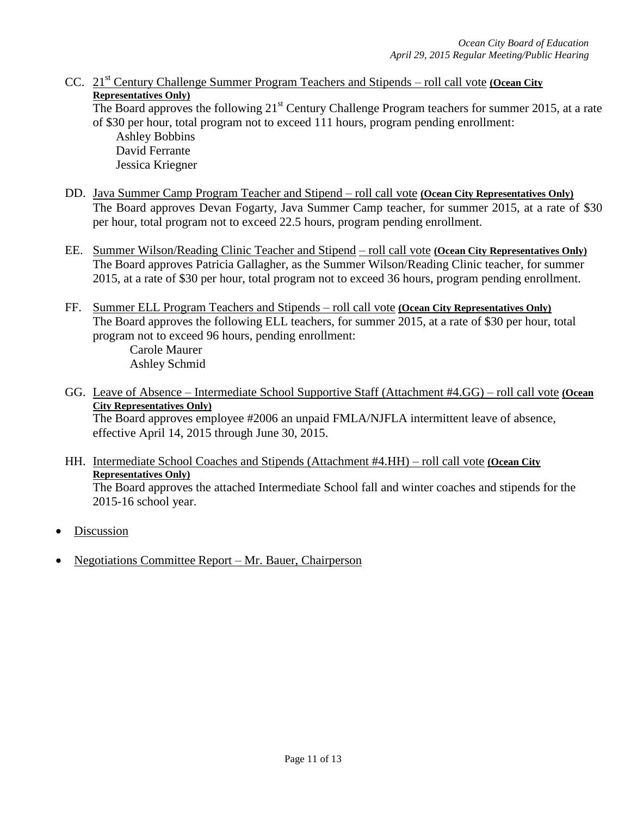CC. 21st Century Challenge Summer Program Teachers and Stipends – roll call vote **(Ocean City Representatives Only)** The Board approves the following  $21^{st}$  Century Challenge Program teachers for summer 2015, at a rate

of \$30 per hour, total program not to exceed 111 hours, program pending enrollment: Ashley Bobbins David Ferrante Jessica Kriegner

- DD. Java Summer Camp Program Teacher and Stipend roll call vote **(Ocean City Representatives Only)** The Board approves Devan Fogarty, Java Summer Camp teacher, for summer 2015, at a rate of \$30 per hour, total program not to exceed 22.5 hours, program pending enrollment.
- EE. Summer Wilson/Reading Clinic Teacher and Stipend roll call vote **(Ocean City Representatives Only)** The Board approves Patricia Gallagher, as the Summer Wilson/Reading Clinic teacher, for summer 2015, at a rate of \$30 per hour, total program not to exceed 36 hours, program pending enrollment.
- FF. Summer ELL Program Teachers and Stipends roll call vote **(Ocean City Representatives Only)** The Board approves the following ELL teachers, for summer 2015, at a rate of \$30 per hour, total program not to exceed 96 hours, pending enrollment: Carole Maurer

Ashley Schmid

GG. Leave of Absence – Intermediate School Supportive Staff (Attachment #4.GG) – roll call vote **(Ocean City Representatives Only)** The Board approves employee #2006 an unpaid FMLA/NJFLA intermittent leave of absence,

effective April 14, 2015 through June 30, 2015.

- HH. Intermediate School Coaches and Stipends (Attachment #4.HH) roll call vote **(Ocean City Representatives Only)** The Board approves the attached Intermediate School fall and winter coaches and stipends for the 2015-16 school year.
- Discussion
- Negotiations Committee Report Mr. Bauer, Chairperson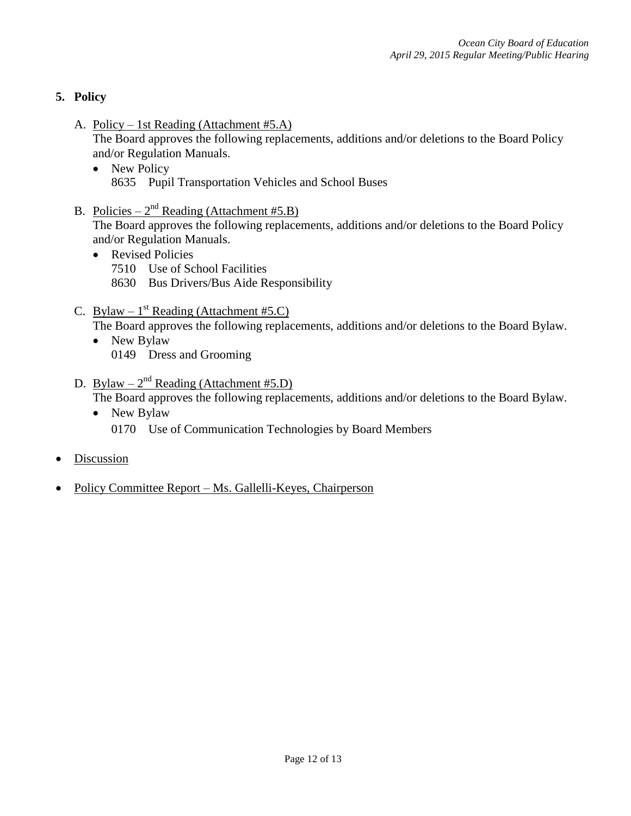## **5. Policy**

A. Policy – 1st Reading (Attachment #5.A)

The Board approves the following replacements, additions and/or deletions to the Board Policy and/or Regulation Manuals.

- New Policy 8635 Pupil Transportation Vehicles and School Buses
- B. Policies  $2^{nd}$  Reading (Attachment #5.B)

The Board approves the following replacements, additions and/or deletions to the Board Policy and/or Regulation Manuals.

- Revised Policies
	- 7510 Use of School Facilities
	- 8630 Bus Drivers/Bus Aide Responsibility
- C. Bylaw  $1^{st}$  Reading (Attachment #5.C)

The Board approves the following replacements, additions and/or deletions to the Board Bylaw.

- New Bylaw 0149 Dress and Grooming
- D. Bylaw  $2^{nd}$  Reading (Attachment #5.D)

The Board approves the following replacements, additions and/or deletions to the Board Bylaw.

- New Bylaw 0170 Use of Communication Technologies by Board Members
- Discussion
- Policy Committee Report Ms. Gallelli-Keyes, Chairperson